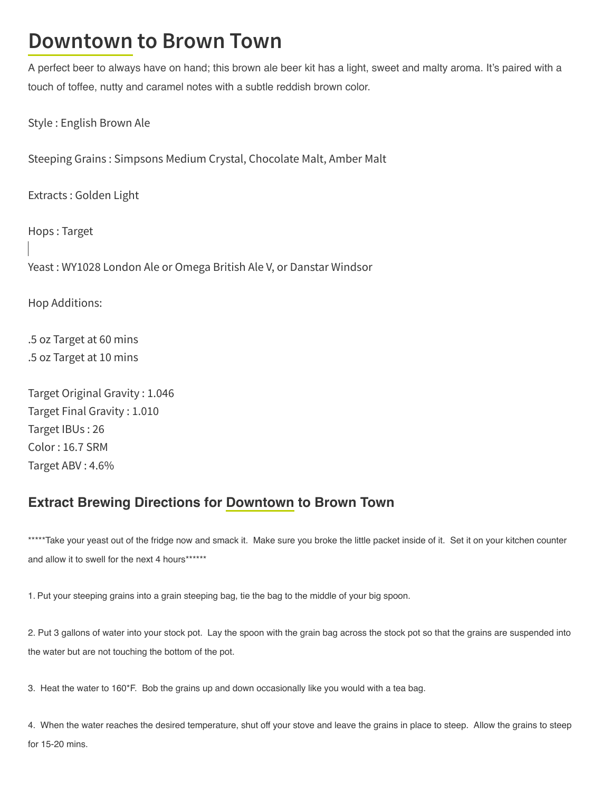## **Downtown to Brown Town**

A perfect beer to always have on hand; this brown ale beer kit has a light, sweet and malty aroma. It's paired with a touch of toffee, nutty and caramel notes with a subtle reddish brown color.

Style : English Brown Ale

Steeping Grains : Simpsons Medium Crystal, Chocolate Malt, Amber Malt

Extracts : Golden Light

Hops : Target Yeast : WY1028 London Ale or Omega British Ale V, or Danstar Windsor

Hop Additions:

.5 oz Target at 60 mins .5 oz Target at 10 mins

Target Original Gravity : 1.046 Target Final Gravity : 1.010 Target IBUs : 26 Color : 16.7 SRM Target ABV : 4.6%

## Extract Brewing Directions for Downtown to Brown Town

\*\*\*\*\*Take your yeast out of the fridge now and smack it. Make sure you broke the little packet inside of it. Set it on your kitchen counter and allow it to swell for the next 4 hours\*\*\*\*\*\*\*

1. Put your steeping grains into a grain steeping bag, tie the bag to the middle of your big spoon.

2. Put 3 gallons of water into your stock pot. Lay the spoon with the grain bag across the stock pot so that the grains are suspended into the water but are not touching the bottom of the pot.

3. Heat the water to 160\*F. Bob the grains up and down occasionally like you would with a tea bag.

4. When the water reaches the desired temperature, shut off your stove and leave the grains in place to steep. Allow the grains to steep for 15-20 mins.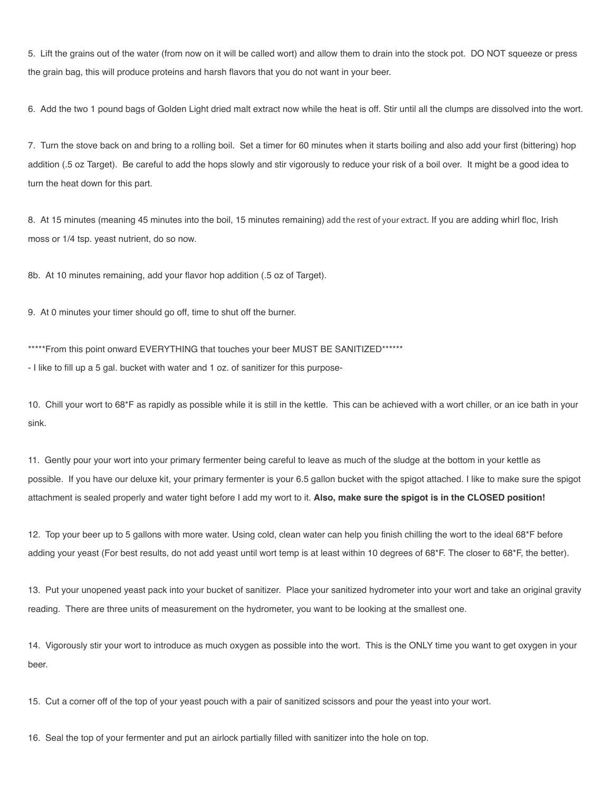5. Lift the grains out of the water (from now on it will be called wort) and allow them to drain into the stock pot. DO NOT squeeze or press the grain bag, this will produce proteins and harsh flavors that you do not want in your beer.

6. Add the two 1 pound bags of Golden Light dried malt extract now while the heat is off. Stir until all the clumps are dissolved into the wort.

7. Turn the stove back on and bring to a rolling boil. Set a timer for 60 minutes when it starts boiling and also add your first (bittering) hop addition (.5 oz Target). Be careful to add the hops slowly and stir vigorously to reduce your risk of a boil over. It might be a good idea to turn the heat down for this part.

8. At 15 minutes (meaning 45 minutes into the boil, 15 minutes remaining) add the rest of your extract. If you are adding whirl floc, Irish moss or 1/4 tsp. yeast nutrient, do so now.

8b. At 10 minutes remaining, add your flavor hop addition (.5 oz of Target).

9. At 0 minutes your timer should go off, time to shut off the burner.

\*\*\*\*\*From this point onward EVERYTHING that touches your beer MUST BE SANITIZED\*\*\*\*\*\*

- I like to fill up a 5 gal. bucket with water and 1 oz. of sanitizer for this purpose-

10. Chill your wort to 68\*F as rapidly as possible while it is still in the kettle. This can be achieved with a wort chiller, or an ice bath in your sink.

11. Gently pour your wort into your primary fermenter being careful to leave as much of the sludge at the bottom in your kettle as possible. If you have our deluxe kit, your primary fermenter is your 6.5 gallon bucket with the spigot attached. I like to make sure the spigot attachment is sealed properly and water tight before I add my wort to it. Also, make sure the spigot is in the CLOSED position!

12. Top your beer up to 5 gallons with more water. Using cold, clean water can help you finish chilling the wort to the ideal 68\*F before adding your yeast (For best results, do not add yeast until wort temp is at least within 10 degrees of 68\*F. The closer to 68\*F, the better).

13. Put your unopened yeast pack into your bucket of sanitizer. Place your sanitized hydrometer into your wort and take an original gravity reading. There are three units of measurement on the hydrometer, you want to be looking at the smallest one.

14. Vigorously stir your wort to introduce as much oxygen as possible into the wort. This is the ONLY time you want to get oxygen in your beer.

15. Cut a corner off of the top of your yeast pouch with a pair of sanitized scissors and pour the yeast into your wort.

16. Seal the top of your fermenter and put an airlock partially filled with sanitizer into the hole on top.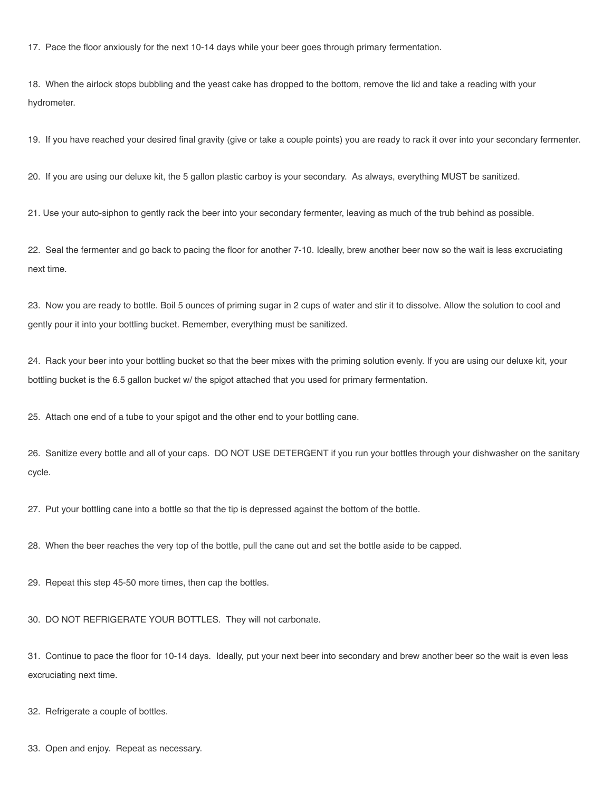17. Pace the floor anxiously for the next 10-14 days while your beer goes through primary fermentation.

18. When the airlock stops bubbling and the yeast cake has dropped to the bottom, remove the lid and take a reading with your hydrometer.

19. If you have reached your desired final gravity (give or take a couple points) you are ready to rack it over into your secondary fermenter.

20. If you are using our deluxe kit, the 5 gallon plastic carboy is your secondary. As always, everything MUST be sanitized.

21. Use your auto-siphon to gently rack the beer into your secondary fermenter, leaving as much of the trub behind as possible.

22. Seal the fermenter and go back to pacing the floor for another 7-10. Ideally, brew another beer now so the wait is less excruciating next time.

23. Now you are ready to bottle. Boil 5 ounces of priming sugar in 2 cups of water and stir it to dissolve. Allow the solution to cool and gently pour it into your bottling bucket. Remember, everything must be sanitized.

24. Rack your beer into your bottling bucket so that the beer mixes with the priming solution evenly. If you are using our deluxe kit, your bottling bucket is the 6.5 gallon bucket w/ the spigot attached that you used for primary fermentation.

25. Attach one end of a tube to your spigot and the other end to your bottling cane.

26. Sanitize every bottle and all of your caps. DO NOT USE DETERGENT if you run your bottles through your dishwasher on the sanitary cycle.

27. Put your bottling cane into a bottle so that the tip is depressed against the bottom of the bottle.

28. When the beer reaches the very top of the bottle, pull the cane out and set the bottle aside to be capped.

29. Repeat this step 45-50 more times, then cap the bottles.

30. DO NOT REFRIGERATE YOUR BOTTLES. They will not carbonate.

31. Continue to pace the floor for 10-14 days. Ideally, put your next beer into secondary and brew another beer so the wait is even less excruciating next time.

32. Refrigerate a couple of bottles.

33. Open and enjoy. Repeat as necessary.